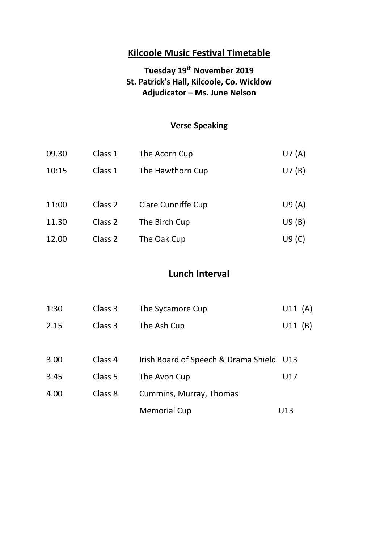## **Tuesday 19th November 2019 St. Patrick's Hall, Kilcoole, Co. Wicklow Adjudicator – Ms. June Nelson**

## **Verse Speaking**

| 09.30 | Class 1 | The Acorn Cup             | U7(A) |
|-------|---------|---------------------------|-------|
| 10:15 | Class 1 | The Hawthorn Cup          | U7(B) |
|       |         |                           |       |
| 11:00 | Class 2 | <b>Clare Cunniffe Cup</b> | U9(A) |
| 11.30 | Class 2 | The Birch Cup             | U9(B) |
| 12.00 | Class 2 | The Oak Cup               | U9(C) |

## **Lunch Interval**

| 1:30 | Class 3 | The Sycamore Cup                         | U11(A) |
|------|---------|------------------------------------------|--------|
| 2.15 | Class 3 | The Ash Cup                              | U11(B) |
|      |         |                                          |        |
| 3.00 | Class 4 | Irish Board of Speech & Drama Shield U13 |        |
| 3.45 | Class 5 | The Avon Cup                             | U17    |
| 4.00 | Class 8 | Cummins, Murray, Thomas                  |        |
|      |         | <b>Memorial Cup</b>                      | U13    |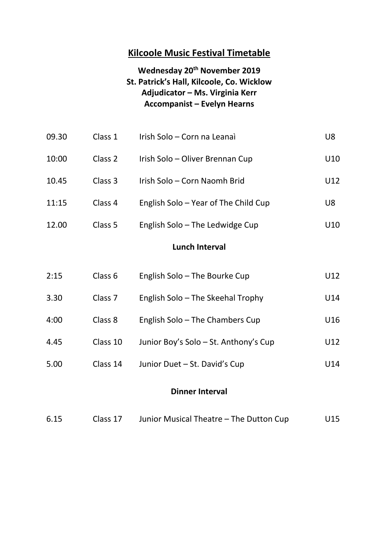### **Wednesday 20th November 2019 St. Patrick's Hall, Kilcoole, Co. Wicklow Adjudicator – Ms. Virginia Kerr Accompanist – Evelyn Hearns**

| 09.30 | Class 1 | Irish Solo - Corn na Leanaì          | U8  |
|-------|---------|--------------------------------------|-----|
| 10:00 | Class 2 | Irish Solo – Oliver Brennan Cup      | U10 |
| 10.45 | Class 3 | Irish Solo - Corn Naomh Brid         | U12 |
| 11:15 | Class 4 | English Solo - Year of The Child Cup | U8  |
|       |         |                                      |     |

12.00 Class 5 English Solo – The Ledwidge Cup U10

### **Lunch Interval**

| 2:15 | Class 6            | English Solo – The Bourke Cup         | U12 |
|------|--------------------|---------------------------------------|-----|
| 3.30 | Class <sub>7</sub> | English Solo – The Skeehal Trophy     | U14 |
| 4:00 | Class 8            | English Solo – The Chambers Cup       | U16 |
| 4.45 | Class 10           | Junior Boy's Solo – St. Anthony's Cup | U12 |
| 5.00 | Class 14           | Junior Duet - St. David's Cup         | U14 |
|      |                    |                                       |     |

#### **Dinner Interval**

| 6.15 | Class 17 | Junior Musical Theatre – The Dutton Cup | U15 |
|------|----------|-----------------------------------------|-----|
|      |          |                                         |     |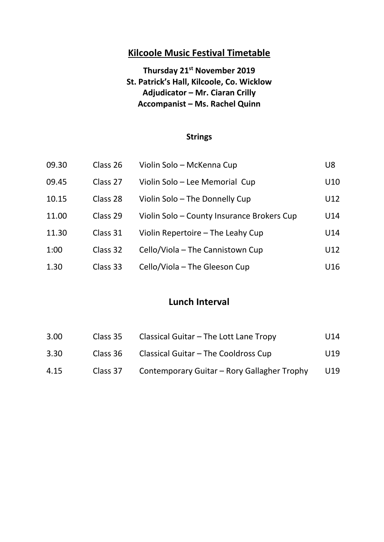**Thursday 21st November 2019 St. Patrick's Hall, Kilcoole, Co. Wicklow Adjudicator – Mr. Ciaran Crilly Accompanist – Ms. Rachel Quinn**

#### **Strings**

| 09.30 | Class 26 | Violin Solo - McKenna Cup                  | U8  |
|-------|----------|--------------------------------------------|-----|
| 09.45 | Class 27 | Violin Solo - Lee Memorial Cup             | U10 |
| 10.15 | Class 28 | Violin Solo – The Donnelly Cup             | U12 |
| 11.00 | Class 29 | Violin Solo - County Insurance Brokers Cup | U14 |
| 11.30 | Class 31 | Violin Repertoire - The Leahy Cup          | U14 |
| 1:00  | Class 32 | Cello/Viola – The Cannistown Cup           | U12 |
| 1.30  | Class 33 | Cello/Viola – The Gleeson Cup              | U16 |

### **Lunch Interval**

| 3.00 | Class 35 | Classical Guitar – The Lott Lane Tropy      | U14 |
|------|----------|---------------------------------------------|-----|
| 3.30 | Class 36 | Classical Guitar – The Cooldross Cup        | U19 |
| 4.15 | Class 37 | Contemporary Guitar - Rory Gallagher Trophy | U19 |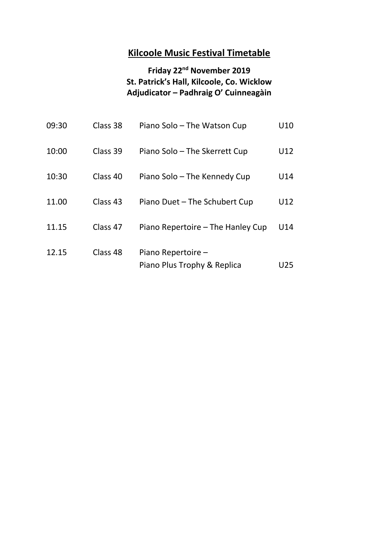## **Friday 22nd November 2019 St. Patrick's Hall, Kilcoole, Co. Wicklow Adjudicator – Padhraig O' Cuinneagàin**

| 09:30 | Class 38 | Piano Solo – The Watson Cup                       | U10 |
|-------|----------|---------------------------------------------------|-----|
| 10:00 | Class 39 | Piano Solo - The Skerrett Cup                     | U12 |
| 10:30 | Class 40 | Piano Solo – The Kennedy Cup                      | U14 |
| 11.00 | Class 43 | Piano Duet - The Schubert Cup                     | U12 |
| 11.15 | Class 47 | Piano Repertoire – The Hanley Cup                 | U14 |
| 12.15 | Class 48 | Piano Repertoire -<br>Piano Plus Trophy & Replica | U25 |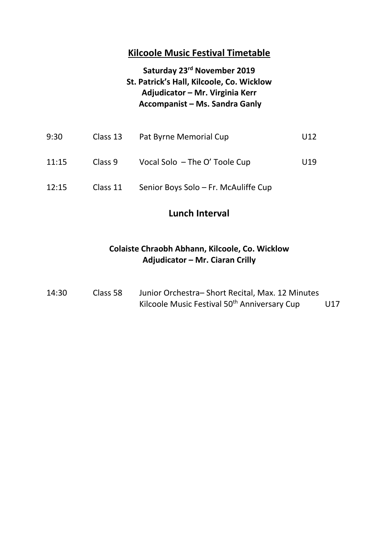### **Saturday 23rd November 2019 St. Patrick's Hall, Kilcoole, Co. Wicklow Adjudicator – Mr. Virginia Kerr Accompanist – Ms. Sandra Ganly**

| 9:30  | Class 13 | Pat Byrne Memorial Cup               | U12 |
|-------|----------|--------------------------------------|-----|
| 11:15 | Class 9  | Vocal Solo - The O' Toole Cup        | U19 |
| 12:15 | Class 11 | Senior Boys Solo – Fr. McAuliffe Cup |     |

#### **Lunch Interval**

#### **Colaiste Chraobh Abhann, Kilcoole, Co. Wicklow Adjudicator – Mr. Ciaran Crilly**

| 14:30 | Class 58 | Junior Orchestra-Short Recital, Max. 12 Minutes          |     |
|-------|----------|----------------------------------------------------------|-----|
|       |          | Kilcoole Music Festival 50 <sup>th</sup> Anniversary Cup | U17 |